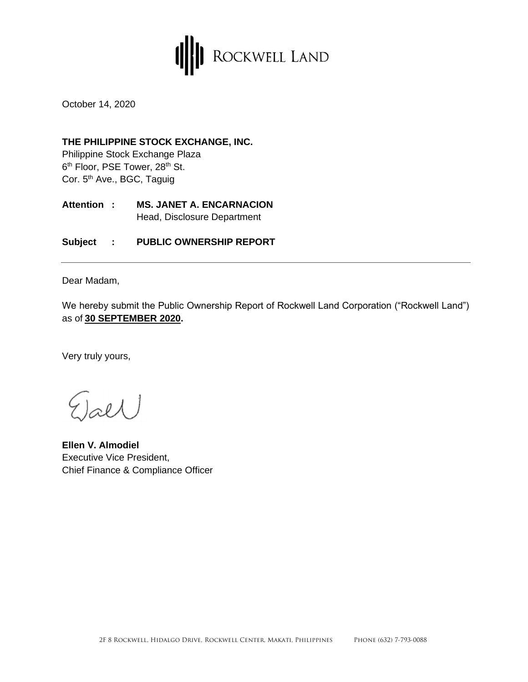

October 14, 2020

#### **THE PHILIPPINE STOCK EXCHANGE, INC.**

Philippine Stock Exchange Plaza 6<sup>th</sup> Floor, PSE Tower, 28<sup>th</sup> St. Cor. 5<sup>th</sup> Ave., BGC, Taguig

**Attention : MS. JANET A. ENCARNACION** Head, Disclosure Department

**Subject : PUBLIC OWNERSHIP REPORT**

Dear Madam,

We hereby submit the Public Ownership Report of Rockwell Land Corporation ("Rockwell Land") as of **30 SEPTEMBER 2020.** 

Very truly yours,

 $j$ ael

**Ellen V. Almodiel** Executive Vice President, Chief Finance & Compliance Officer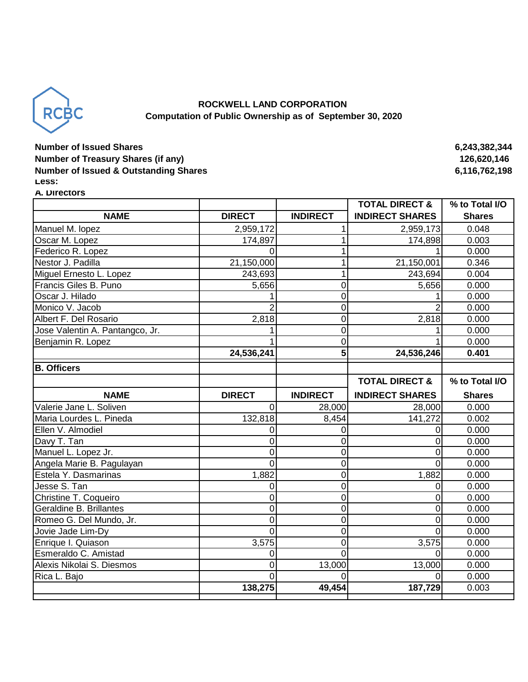

### **ROCKWELL LAND CORPORATION Computation of Public Ownership as of September 30, 2020**

## **Number of Issued Shares 6,243,382,344 Number of Treasury Shares (if any)** 126,620,146 **Number of Issued & Outstanding Shares 6,116,762,198 Less:**

#### **A. Directors**

|                                 |                |                         | <b>TOTAL DIRECT &amp;</b> | % to Total I/O |
|---------------------------------|----------------|-------------------------|---------------------------|----------------|
| <b>NAME</b>                     | <b>DIRECT</b>  | <b>INDIRECT</b>         | <b>INDIRECT SHARES</b>    | <b>Shares</b>  |
| Manuel M. lopez                 | 2,959,172      |                         | 2,959,173                 | 0.048          |
| Oscar M. Lopez                  | 174,897        | 1                       | 174,898                   | 0.003          |
| Federico R. Lopez               | 0              | 1                       |                           | 0.000          |
| Nestor J. Padilla               | 21,150,000     | 1                       | 21,150,001                | 0.346          |
| Miguel Ernesto L. Lopez         | 243,693        | 1                       | 243,694                   | 0.004          |
| Francis Giles B. Puno           | 5,656          | $\mathbf 0$             | 5,656                     | 0.000          |
| Oscar J. Hilado                 |                | $\mathbf 0$             |                           | 0.000          |
| Monico V. Jacob                 | 2              | $\mathbf 0$             |                           | 0.000          |
| Albert F. Del Rosario           | 2,818          | $\mathbf 0$             | 2,818                     | 0.000          |
| Jose Valentin A. Pantangco, Jr. |                | $\overline{0}$          |                           | 0.000          |
| Benjamin R. Lopez               |                | $\mathbf 0$             |                           | 0.000          |
|                                 | 24,536,241     | $\overline{\mathbf{5}}$ | 24,536,246                | 0.401          |
| <b>B. Officers</b>              |                |                         |                           |                |
|                                 |                |                         | <b>TOTAL DIRECT &amp;</b> | % to Total I/O |
| <b>NAME</b>                     | <b>DIRECT</b>  | <b>INDIRECT</b>         | <b>INDIRECT SHARES</b>    | <b>Shares</b>  |
| Valerie Jane L. Soliven         | 0              | 28,000                  | 28,000                    | 0.000          |
| Maria Lourdes L. Pineda         | 132,818        | 8,454                   | 141,272                   | 0.002          |
| Ellen V. Almodiel               | 0              | $\mathbf 0$             | 0                         | 0.000          |
| Davy T. Tan                     | 0              | $\mathbf 0$             | 0                         | 0.000          |
| Manuel L. Lopez Jr.             | 0              | $\overline{0}$          | 0                         | 0.000          |
| Angela Marie B. Pagulayan       | $\Omega$       | $\overline{0}$          | O                         | 0.000          |
| Estela Y. Dasmarinas            | 1,882          | $\mathbf 0$             | 1,882                     | 0.000          |
| Jesse S. Tan                    | 0              | $\overline{0}$          | 0                         | 0.000          |
| Christine T. Coqueiro           | 0              | $\mathbf 0$             | 0                         | 0.000          |
| Geraldine B. Brillantes         | 0              | $\mathbf 0$             | 0                         | 0.000          |
| Romeo G. Del Mundo, Jr.         | 0              | $\mathbf 0$             | 0                         | 0.000          |
| Jovie Jade Lim-Dy               | $\overline{0}$ | $\overline{0}$          | 0                         | 0.000          |
| Enrique I. Quiason              | 3,575          | $\mathbf 0$             | 3,575                     | 0.000          |
| Esmeraldo C. Amistad            | 0              | $\overline{0}$          | O                         | 0.000          |
| Alexis Nikolai S. Diesmos       | 0              | 13,000                  | 13,000                    | 0.000          |
| Rica L. Bajo                    | 0              | $\Omega$                | O                         | 0.000          |
|                                 | 138,275        | 49,454                  | 187,729                   | 0.003          |
|                                 |                |                         |                           |                |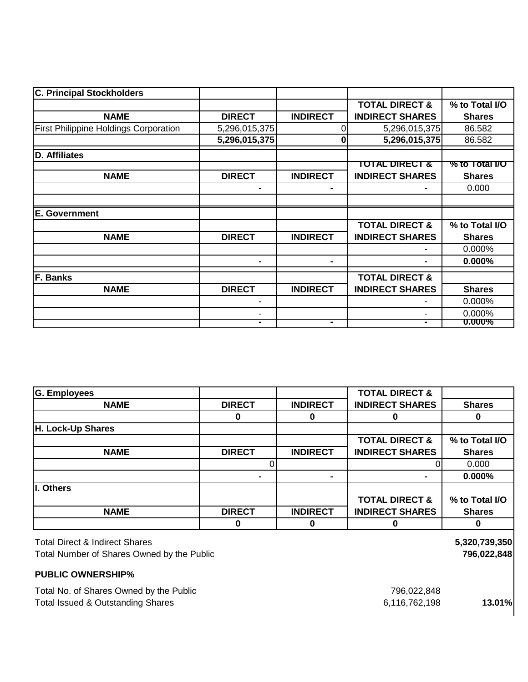| <b>C. Principal Stockholders</b>             |               |                 |                           |                |
|----------------------------------------------|---------------|-----------------|---------------------------|----------------|
|                                              |               |                 | <b>TOTAL DIRECT &amp;</b> | % to Total I/O |
| <b>NAME</b>                                  | <b>DIRECT</b> | <b>INDIRECT</b> | <b>INDIRECT SHARES</b>    | <b>Shares</b>  |
| <b>First Philippine Holdings Corporation</b> | 5,296,015,375 | $\Omega$        | 5,296,015,375             | 86.582         |
|                                              | 5,296,015,375 | 0               | 5,296,015,375             | 86.582         |
| D. Affiliates                                |               |                 |                           |                |
|                                              |               |                 | TOTAL DIRECT &            | % to Total I/O |
| <b>NAME</b>                                  | <b>DIRECT</b> | <b>INDIRECT</b> | <b>INDIRECT SHARES</b>    | <b>Shares</b>  |
|                                              |               |                 |                           | 0.000          |
|                                              |               |                 |                           |                |
| <b>E. Government</b>                         |               |                 |                           |                |
|                                              |               |                 | <b>TOTAL DIRECT &amp;</b> | % to Total I/O |
| <b>NAME</b>                                  | <b>DIRECT</b> | <b>INDIRECT</b> | <b>INDIRECT SHARES</b>    | <b>Shares</b>  |
|                                              |               |                 |                           | 0.000%         |
|                                              |               |                 |                           | 0.000%         |
| F. Banks                                     |               |                 | <b>TOTAL DIRECT &amp;</b> |                |
| <b>NAME</b>                                  | <b>DIRECT</b> | <b>INDIRECT</b> | <b>INDIRECT SHARES</b>    | <b>Shares</b>  |
|                                              |               |                 |                           | 0.000%         |
|                                              |               |                 |                           | 0.000%         |
|                                              |               | ۰               |                           | <b>0.000%</b>  |

| <b>G. Employees</b>                        |               |                 | <b>TOTAL DIRECT &amp;</b> |                |
|--------------------------------------------|---------------|-----------------|---------------------------|----------------|
| <b>NAME</b>                                | <b>DIRECT</b> | <b>INDIRECT</b> | <b>INDIRECT SHARES</b>    | <b>Shares</b>  |
|                                            | 0             | O               |                           | 0              |
| H. Lock-Up Shares                          |               |                 |                           |                |
|                                            |               |                 | <b>TOTAL DIRECT &amp;</b> | % to Total I/O |
| <b>NAME</b>                                | <b>DIRECT</b> | <b>INDIRECT</b> | <b>INDIRECT SHARES</b>    | <b>Shares</b>  |
|                                            |               |                 |                           | 0.000          |
|                                            |               | ۰               |                           | 0.000%         |
| I. Others                                  |               |                 |                           |                |
|                                            |               |                 | <b>TOTAL DIRECT &amp;</b> | % to Total I/O |
| <b>NAME</b>                                | <b>DIRECT</b> | <b>INDIRECT</b> | <b>INDIRECT SHARES</b>    | <b>Shares</b>  |
|                                            | 0             | 0               | 0                         | 0              |
| <b>Total Direct &amp; Indirect Shares</b>  |               |                 |                           | 5,320,739,350  |
| Total Number of Shares Owned by the Public |               |                 |                           | 796,022,848    |
| <b>PUBLIC OWNERSHIP%</b>                   |               |                 |                           |                |

# **PUBLIC OWNERSHIP%**

| Total No. of Shares Owned by the Public | 796,022,848   |        |
|-----------------------------------------|---------------|--------|
| Total Issued & Outstanding Shares       | 6,116,762,198 | 13.01% |